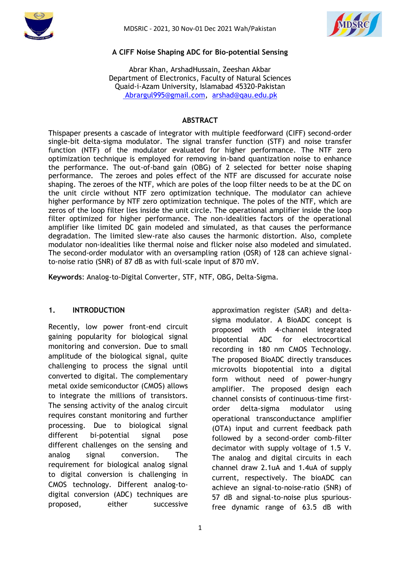



### **A CIFF Noise Shaping ADC for Bio-potential Sensing**

Abrar Khan, ArshadHussain, Zeeshan Akbar Department of Electronics, Faculty of Natural Sciences Quaid-i-Azam University, Islamabad 45320-Pakistan [Abrargul995@gmail.com,](mailto:%20Abrargul995@gmail.com) [arshad@qau.edu.pk](mailto:arshad@qau.edu.pk)

#### **ABSTRACT**

Thispaper presents a cascade of integrator with multiple feedforward (CIFF) second-order single-bit delta-sigma modulator. The signal transfer function (STF) and noise transfer function (NTF) of the modulator evaluated for higher performance. The NTF zero optimization technique is employed for removing in-band quantization noise to enhance the performance. The out-of-band gain (OBG) of 2 selected for better noise shaping performance. The zeroes and poles effect of the NTF are discussed for accurate noise shaping. The zeroes of the NTF, which are poles of the loop filter needs to be at the DC on the unit circle without NTF zero optimization technique. The modulator can achieve higher performance by NTF zero optimization technique. The poles of the NTF, which are zeros of the loop filter lies inside the unit circle. The operational amplifier inside the loop filter optimized for higher performance. The non-idealities factors of the operational amplifier like limited DC gain modeled and simulated, as that causes the performance degradation. The limited slew-rate also causes the harmonic distortion. Also, complete modulator non-idealities like thermal noise and flicker noise also modeled and simulated. The second-order modulator with an oversampling ration (OSR) of 128 can achieve signalto-noise ratio (SNR) of 87 dB as with full-scale input of 870 mV.

**Keywords**: Analog-to-Digital Converter, STF, NTF, OBG, Delta-Sigma.

### **1. INTRODUCTION**

Recently, low power front-end circuit gaining popularity for biological signal monitoring and conversion. Due to small amplitude of the biological signal, quite challenging to process the signal until converted to digital. The complementary metal oxide semiconductor (CMOS) allows to integrate the millions of transistors. The sensing activity of the analog circuit requires constant monitoring and further processing. Due to biological signal different bi-potential signal pose different challenges on the sensing and analog signal conversion. The requirement for biological analog signal to digital conversion is challenging in CMOS technology. Different analog-todigital conversion (ADC) techniques are proposed, either successive approximation register (SAR) and deltasigma modulator. A BioADC concept is proposed with 4-channel integrated bipotential ADC for electrocortical recording in 180 nm CMOS Technology. The proposed BioADC directly transduces microvolts biopotential into a digital form without need of power-hungry amplifier. The proposed design each channel consists of continuous-time firstorder delta-sigma modulator using operational transconductance amplifier (OTA) input and current feedback path followed by a second-order comb-filter decimator with supply voltage of 1.5 V. The analog and digital circuits in each channel draw 2.1uA and 1.4uA of supply current, respectively. The bioADC can achieve an signal-to-noise-ratio (SNR) of 57 dB and signal-to-noise plus spuriousfree dynamic range of 63.5 dB with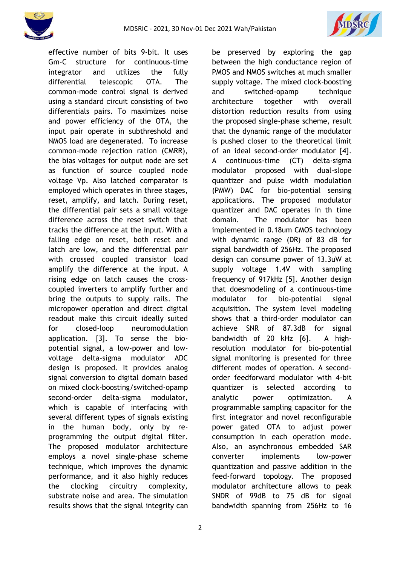



effective number of bits 9-bit. It uses Gm-C structure for continuous-time integrator and utilizes the fully differential telescopic OTA. The common-mode control signal is derived using a standard circuit consisting of two differentials pairs. To maximizes noise and power efficiency of the OTA, the input pair operate in subthreshold and NMOS load are degenerated. To increase common-mode rejection ration (CMRR), the bias voltages for output node are set as function of source coupled node voltage Vp. Also latched comparator is employed which operates in three stages, reset, amplify, and latch. During reset, the differential pair sets a small voltage difference across the reset switch that tracks the difference at the input. With a falling edge on reset, both reset and latch are low, and the differential pair with crossed coupled transistor load amplify the difference at the input. A rising edge on latch causes the crosscoupled inverters to amplify further and bring the outputs to supply rails. The micropower operation and direct digital readout make this circuit ideally suited for closed-loop neuromodulation application. [3]. To sense the biopotential signal, a low-power and lowvoltage delta-sigma modulator ADC design is proposed. It provides analog signal conversion to digital domain based on mixed clock-boosting/switched-opamp second-order delta-sigma modulator, which is capable of interfacing with several different types of signals existing in the human body, only by reprogramming the output digital filter. The proposed modulator architecture employs a novel single-phase scheme technique, which improves the dynamic performance, and it also highly reduces the clocking circuitry complexity, substrate noise and area. The simulation results shows that the signal integrity can be preserved by exploring the gap between the high conductance region of PMOS and NMOS switches at much smaller supply voltage. The mixed clock-boosting and switched-opamp technique architecture together with overall distortion reduction results from using the proposed single-phase scheme, result that the dynamic range of the modulator is pushed closer to the theoretical limit of an ideal second-order modulator [4]. A continuous-time (CT) delta-sigma modulator proposed with dual-slope quantizer and pulse width modulation (PMW) DAC for bio-potential sensing applications. The proposed modulator quantizer and DAC operates in th time domain. The modulator has been implemented in 0.18um CMOS technology with dynamic range (DR) of 83 dB for signal bandwidth of 256Hz. The proposed design can consume power of 13.3uW at supply voltage 1.4V with sampling frequency of 917kHz [5]. Another design that doesmodeling of a continuous-time modulator for bio-potential signal acquisition. The system level modeling shows that a third-order modulator can achieve SNR of 87.3dB for signal bandwidth of 20 kHz [6]. A highresolution modulator for bio-potential signal monitoring is presented for three different modes of operation. A secondorder feedforward modulator with 4-bit quantizer is selected according to analytic power optimization. A programmable sampling capacitor for the first integrator and novel reconfigurable power gated OTA to adjust power consumption in each operation mode. Also, an asynchronous embedded SAR converter implements low-power quantization and passive addition in the feed-forward topology. The proposed modulator architecture allows to peak SNDR of 99dB to 75 dB for signal bandwidth spanning from 256Hz to 16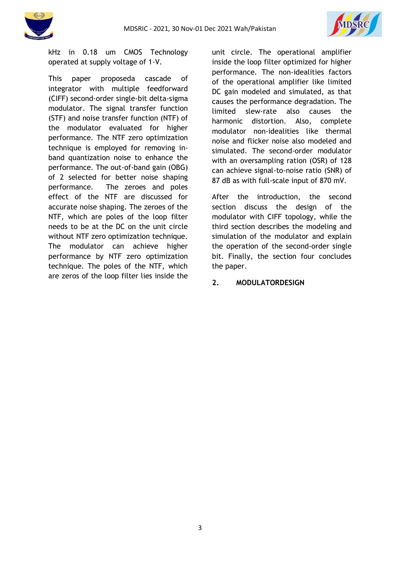



kHz in 0.18 um CMOS Technology operated at supply voltage of 1-V.

This paper proposeda cascade of integrator with multiple feedforward (CIFF) second-order single-bit delta-sigma modulator. The signal transfer function (STF) and noise transfer function (NTF) of the modulator evaluated for higher performance. The NTF zero optimization technique is employed for removing inband quantization noise to enhance the performance. The out-of-band gain (OBG) of 2 selected for better noise shaping performance. The zeroes and poles effect of the NTF are discussed for accurate noise shaping. The zeroes of the NTF, which are poles of the loop filter needs to be at the DC on the unit circle without NTF zero optimization technique. The modulator can achieve higher performance by NTF zero optimization technique. The poles of the NTF, which are zeros of the loop filter lies inside the unit circle. The operational amplifier inside the loop filter optimized for higher performance. The non-idealities factors of the operational amplifier like limited DC gain modeled and simulated, as that causes the performance degradation. The limited slew-rate also causes the harmonic distortion. Also, complete modulator non-idealities like thermal noise and flicker noise also modeled and simulated. The second-order modulator with an oversampling ration (OSR) of 128 can achieve signal-to-noise ratio (SNR) of 87 dB as with full-scale input of 870 mV.

After the introduction, the second section discuss the design of the modulator with CIFF topology, while the third section describes the modeling and simulation of the modulator and explain the operation of the second-order single bit. Finally, the section four concludes the paper.

## **2. MODULATORDESIGN**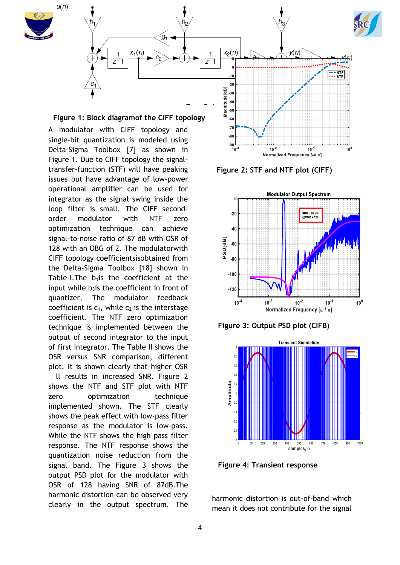

 $-80$  $-90$  $\frac{10^{-3}}{10^{-3}}$ 

A modulator with CIFF topology and single-bit quantization is modeled using Delta-Sigma Toolbox [7] as shown in Figure 1. Due to CIFF topology the signaltransfer-function (STF) will have peaking issues but have advantage of low-power operational amplifier can be used for integrator as the signal swing inside the loop filter is small. The CIFF secondorder modulator with NTF zero optimization technique can achieve signal-to-noise ratio of 87 dB with OSR of 128 with an OBG of 2. The modulatorwith CIFF topology coefficientsisobtained from the Delta-Sigma Toolbox [18] shown in Table-I.The  $b_1$ is the coefficient at the input while  $b_3$ is the coefficient in front of quantizer. The modulator feedback coefficient is  $c_1$ , while  $c_2$  is the interstage coefficient. The NTF zero optimization technique is implemented between the output of second integrator to the input of first integrator. The Table II shows the OSR versus SNR comparison, different plot. It is shown clearly that higher OSR

Il results in increased SNR. Figure 2 shows the NTF and STF plot with NTF zero optimization technique implemented shown. The STF clearly shows the peak effect with low-pass filter response as the modulator is low-pass. While the NTF shows the high pass filter response. The NTF response shows the quantization noise reduction from the signal band. The Figure 3 shows the output PSD plot for the modulator with OSR of 128 having SNR of 87dB.The harmonic distortion can be observed very clearly in the output spectrum. The

**Figure 2: STF and NTF plot (CIFF)**

 $10^{-2}$ 

 $10^{-1}$ 



Normalized Frequency  $[\omega/\pi]$ 

**Figure 3: Output PSD plot (CIFB)**



**Figure 4: Transient response**

harmonic distortion is out-of-band which mean it does not contribute for the signal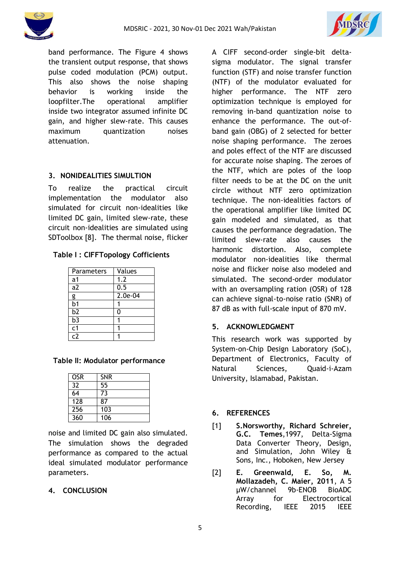



band performance. The Figure 4 shows the transient output response, that shows pulse coded modulation (PCM) output. This also shows the noise shaping behavior is working inside the loopfilter.The operational amplifier inside two integrator assumed infinite DC gain, and higher slew-rate. This causes maximum quantization noises attenuation.

# **3. NONIDEALITIES SIMULTION**

To realize the practical circuit implementation the modulator also simulated for circuit non-idealities like limited DC gain, limited slew-rate, these circuit non-idealities are simulated using SDToolbox [8]. The thermal noise, flicker

|  | Table I: CIFFTopology Cofficients |  |
|--|-----------------------------------|--|
|--|-----------------------------------|--|

| Parameters      | Values    |
|-----------------|-----------|
| a1              | 1.2       |
| a2              | 0.5       |
|                 | $2.0e-04$ |
| $\frac{g}{b}$ 1 |           |
| b <sub>2</sub>  | 0         |
| $\overline{b3}$ |           |
| $\overline{c1}$ |           |
| r7              |           |

## **Table II: Modulator performance**

| <b>OSR</b> | <b>SNR</b> |
|------------|------------|
| 32         | 55         |
| 64         | 73         |
| 128        | 87         |
| 256        | 103        |
| 360        | 106        |

noise and limited DC gain also simulated. The simulation shows the degraded performance as compared to the actual ideal simulated modulator performance parameters.

## **4. CONCLUSION**

A CIFF second-order single-bit deltasigma modulator. The signal transfer function (STF) and noise transfer function (NTF) of the modulator evaluated for higher performance. The NTF zero optimization technique is employed for removing in-band quantization noise to enhance the performance. The out-ofband gain (OBG) of 2 selected for better noise shaping performance. The zeroes and poles effect of the NTF are discussed for accurate noise shaping. The zeroes of the NTF, which are poles of the loop filter needs to be at the DC on the unit circle without NTF zero optimization technique. The non-idealities factors of the operational amplifier like limited DC gain modeled and simulated, as that causes the performance degradation. The limited slew-rate also causes the harmonic distortion. Also, complete modulator non-idealities like thermal noise and flicker noise also modeled and simulated. The second-order modulator with an oversampling ration (OSR) of 128 can achieve signal-to-noise ratio (SNR) of 87 dB as with full-scale input of 870 mV.

## **5. ACKNOWLEDGMENT**

This research work was supported by System-on-Chip Design Laboratory (SoC), Department of Electronics, Faculty of Natural Sciences, Quaid-i-Azam University, Islamabad, Pakistan.

## **6. REFERENCES**

- [1] **S.Norsworthy, Richard Schreier, G.C. Temes**,1997, Delta-Sigma Data Converter Theory, Design, and Simulation, John Wiley & Sons, Inc., Hoboken, New Jersey
- [2] **E. Greenwald, E. So, M. Mollazadeh, C. Maier, 2011**, A 5 µW/channel 9b-ENOB BioADC Array for Electrocortical Recording, IEEE 2015 IEEE